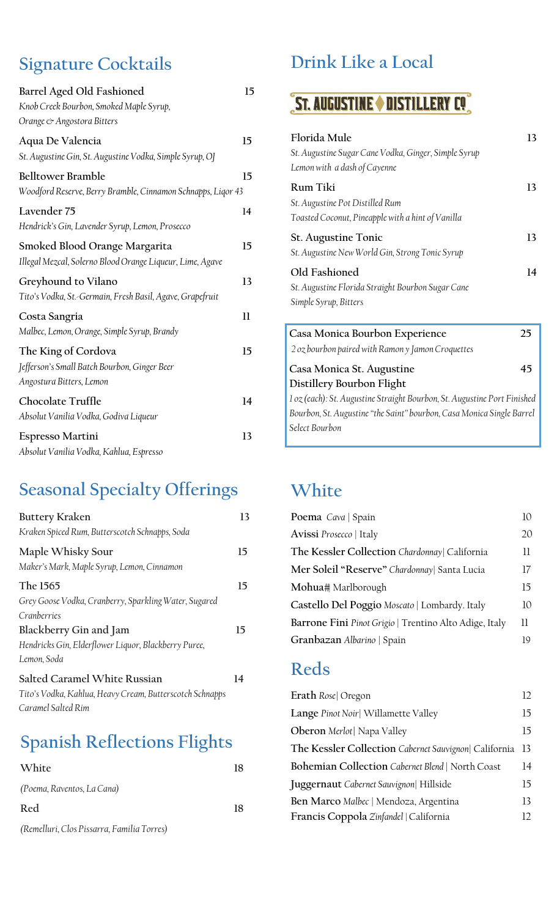### **Signature Cocktails**

| Barrel Aged Old Fashioned                                    | 15           |
|--------------------------------------------------------------|--------------|
| Knob Creek Bourbon, Smoked Maple Syrup,                      |              |
| Orange & Angostora Bitters                                   |              |
| Aqua De Valencia                                             | 15           |
| St. Augustine Gin, St. Augustine Vodka, Simple Syrup, OJ     |              |
| <b>Belltower Bramble</b>                                     | 15           |
| Woodford Reserve, Berry Bramble, Cinnamon Schnapps, Ligor 43 |              |
| Lavender 75                                                  | 14           |
| Hendrick's Gin, Lavender Syrup, Lemon, Prosecco              |              |
| Smoked Blood Orange Margarita                                | 15           |
| Illegal Mezcal, Solerno Blood Orange Liqueur, Lime, Agave    |              |
| Greyhound to Vilano                                          | 13           |
| Tito's Vodka, St.-Germain, Fresh Basil, Agave, Grapefruit    |              |
| Costa Sangria                                                | $\mathbf{1}$ |
| Malbec, Lemon, Orange, Simple Syrup, Brandy                  |              |
| The King of Cordova                                          | 15           |
| Jefferson's Small Batch Bourbon, Ginger Beer                 |              |
| Angostura Bitters, Lemon                                     |              |
| Chocolate Truffle                                            | 14           |
| Absolut Vanilia Vodka, Godiva Liqueur                        |              |
| Espresso Martini                                             | 13           |
| Absolut Vanilia Vodka, Kahlua, Espresso                      |              |

## **Seasonal Specialty Offerings**

| Buttery Kraken                                                  | 13 |
|-----------------------------------------------------------------|----|
| Kraken Spiced Rum, Butterscotch Schnapps, Soda                  |    |
| Maple Whisky Sour<br>Maker's Mark, Maple Syrup, Lemon, Cinnamon | 15 |
| The 1565                                                        | 15 |
| Grey Goose Vodka, Cranberry, Sparkling Water, Sugared           |    |
| Cranberries                                                     |    |
| Blackberry Gin and Jam                                          | 15 |
| Hendricks Gin, Elderflower Liquor, Blackberry Puree,            |    |
| Lemon, Soda                                                     |    |
| Salted Caramel White Russian                                    | 14 |
| Tito's Vodka, Kahlua, Heavy Cream, Butterscotch Schnapps        |    |
| Caramel Salted Rim                                              |    |

# **Spanish Reflections Flights**

| White                                      | 18 |
|--------------------------------------------|----|
| (Poema, Raventos, La Cana)                 |    |
| Red                                        | 18 |
| (Remelluri, Clos Pissarra, Familia Torres) |    |

### **Drink Like a Local**

# **ST. AUGUSTINE ON DISTILLERY CO.**

| Florida Mule<br>St. Augustine Sugar Cane Vodka, Ginger, Simple Syrup<br>Lemon with a dash of Cayenne | 13 |
|------------------------------------------------------------------------------------------------------|----|
| Rum Tiki<br>St. Augustine Pot Distilled Rum<br>Toasted Coconut, Pineapple with a hint of Vanilla     | 13 |
| <b>St. Augustine Tonic</b><br>St. Augustine New World Gin, Strong Tonic Syrup                        | 13 |
| Old Fashioned<br>St. Augustine Florida Straight Bourbon Sugar Cane<br>Simple Syrup, Bitters          | 14 |
| Casa Monica Bourbon Experience<br>2 oz bourbon paired with Ramon y Jamon Croquettes                  | 25 |
| Casa Monica St. Augustine<br>Distillery Bourbon Flight                                               | 45 |
|                                                                                                      |    |

*1 oz (each): St. Augustine Straight Bourbon, St. Augustine Port Finished Bourbon, St. Augustine "the Saint" bourbon, Casa Monica Single Barrel Select Bourbon*

#### **White**

| Poema Cava   Spain                                     | 10 |
|--------------------------------------------------------|----|
| Avissi Prosecco   Italy                                | 20 |
| The Kessler Collection Chardonnay  California          | 11 |
| Mer Soleil "Reserve" Chardonnay  Santa Lucia           | 17 |
| Mohua# Marlborough                                     | 15 |
| Castello Del Poggio Moscato   Lombardy. Italy          | 10 |
| Barrone Fini Pinot Grigio   Trentino Alto Adige, Italy | 11 |
| Granbazan Albarino   Spain                             | 19 |

#### **Reds**

| Erath Rose  Oregon                                    | 12 |
|-------------------------------------------------------|----|
| Lange Pinot Noir  Willamette Valley                   | 15 |
| Oberon Merlot  Napa Valley                            | 15 |
| The Kessler Collection Cabernet Sauvignon  California | 13 |
| Bohemian Collection Cabernet Blend   North Coast      | 14 |
| <b>Juggernaut</b> Cabernet Sauvignon Hillside         | 15 |
| Ben Marco Malbec   Mendoza, Argentina                 | 13 |
| Francis Coppola Zinfandel   California                | 12 |